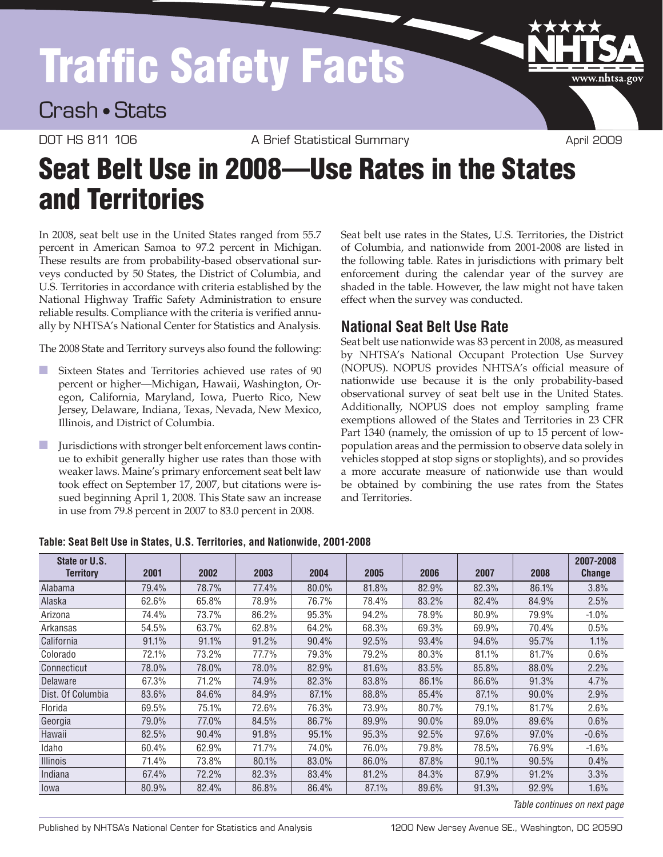# Traffic Safety Facts

Crash • Stats

DOT HS 811 106 A Brief Statistical Summary April 2009

www.nhtsa.gov

# Seat Belt Use in 2008—Use Rates in the States and Territories

In 2008, seat belt use in the United States ranged from 55.7 percent in American Samoa to 97.2 percent in Michigan. These results are from probability-based observational surveys conducted by 50 States, the District of Columbia, and U.S. Territories in accordance with criteria established by the National Highway Traffic Safety Administration to ensure reliable results. Compliance with the criteria is verified annually by NHTSA's National Center for Statistics and Analysis.

The 2008 State and Territory surveys also found the following:

- Sixteen States and Territories achieved use rates of 90 percent or higher—Michigan, Hawaii, Washington, Oregon, California, Maryland, Iowa, Puerto Rico, New Jersey, Delaware, Indiana, Texas, Nevada, New Mexico, Illinois, and District of Columbia.
- Jurisdictions with stronger belt enforcement laws continue to exhibit generally higher use rates than those with weaker laws. Maine's primary enforcement seat belt law took effect on September 17, 2007, but citations were issued beginning April 1, 2008. This State saw an increase in use from 79.8 percent in 2007 to 83.0 percent in 2008.

Seat belt use rates in the States, U.S. Territories, the District of Columbia, and nationwide from 2001-2008 are listed in the following table. Rates in jurisdictions with primary belt enforcement during the calendar year of the survey are shaded in the table. However, the law might not have taken effect when the survey was conducted.

## **National Seat Belt Use Rate**

Seat belt use nationwide was 83 percent in 2008, as measured by NHTSA's National Occupant Protection Use Survey (NOPUS). NOPUS provides NHTSA's official measure of nationwide use because it is the only probability-based observational survey of seat belt use in the United States. Additionally, NOPUS does not employ sampling frame exemptions allowed of the States and Territories in 23 CFR Part 1340 (namely, the omission of up to 15 percent of lowpopulation areas and the permission to observe data solely in vehicles stopped at stop signs or stoplights), and so provides a more accurate measure of nationwide use than would be obtained by combining the use rates from the States and Territories.

| State or U.S.<br><b>Territory</b> | 2001  | 2002  | 2003  | 2004  | 2005  | 2006  | 2007  | 2008  | 2007-2008<br><b>Change</b> |
|-----------------------------------|-------|-------|-------|-------|-------|-------|-------|-------|----------------------------|
| Alabama                           | 79.4% | 78.7% | 77.4% | 80.0% | 81.8% | 82.9% | 82.3% | 86.1% | 3.8%                       |
| Alaska                            | 62.6% | 65.8% | 78.9% | 76.7% | 78.4% | 83.2% | 82.4% | 84.9% | 2.5%                       |
| Arizona                           | 74.4% | 73.7% | 86.2% | 95.3% | 94.2% | 78.9% | 80.9% | 79.9% | $-1.0%$                    |
| Arkansas                          | 54.5% | 63.7% | 62.8% | 64.2% | 68.3% | 69.3% | 69.9% | 70.4% | 0.5%                       |
| California                        | 91.1% | 91.1% | 91.2% | 90.4% | 92.5% | 93.4% | 94.6% | 95.7% | 1.1%                       |
| Colorado                          | 72.1% | 73.2% | 77.7% | 79.3% | 79.2% | 80.3% | 81.1% | 81.7% | 0.6%                       |
| Connecticut                       | 78.0% | 78.0% | 78.0% | 82.9% | 81.6% | 83.5% | 85.8% | 88.0% | 2.2%                       |
| Delaware                          | 67.3% | 71.2% | 74.9% | 82.3% | 83.8% | 86.1% | 86.6% | 91.3% | 4.7%                       |
| Dist. Of Columbia                 | 83.6% | 84.6% | 84.9% | 87.1% | 88.8% | 85.4% | 87.1% | 90.0% | 2.9%                       |
| Florida                           | 69.5% | 75.1% | 72.6% | 76.3% | 73.9% | 80.7% | 79.1% | 81.7% | 2.6%                       |
| Georgia                           | 79.0% | 77.0% | 84.5% | 86.7% | 89.9% | 90.0% | 89.0% | 89.6% | 0.6%                       |
| Hawaii                            | 82.5% | 90.4% | 91.8% | 95.1% | 95.3% | 92.5% | 97.6% | 97.0% | $-0.6%$                    |
| Idaho                             | 60.4% | 62.9% | 71.7% | 74.0% | 76.0% | 79.8% | 78.5% | 76.9% | $-1.6%$                    |
| <b>Illinois</b>                   | 71.4% | 73.8% | 80.1% | 83.0% | 86.0% | 87.8% | 90.1% | 90.5% | 0.4%                       |
| Indiana                           | 67.4% | 72.2% | 82.3% | 83.4% | 81.2% | 84.3% | 87.9% | 91.2% | 3.3%                       |
| lowa                              | 80.9% | 82.4% | 86.8% | 86.4% | 87.1% | 89.6% | 91.3% | 92.9% | 1.6%                       |

### **Table: Seat Belt Use in States, U.S. Territories, and Nationwide, 2001-2008**

*Table continues on next page*